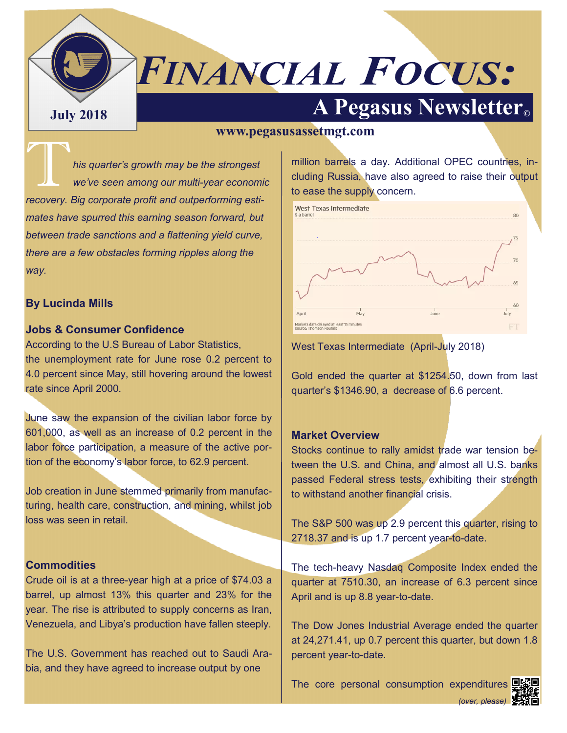# *FINANCIAL FOCUS:*

## **A Pegasus Newsletter C**

#### **www.pegasusassetmgt.com**

**This quarter's growth may be the strongest**<br>
we've seen among our multi-year econom *we've seen among our multi-year economic recovery. Big corporate profit and outperforming estimates have spurred this earning season forward, but between trade sanctions and a flattening yield curve, there are a few obstacles forming ripples along the way.*

#### **By Lucinda Mills**

#### **Jobs & Consumer Confidence**

According to the U.S Bureau of Labor Statistics, the unemployment rate for June rose 0.2 percent to 4.0 percent since May, still hovering around the lowest rate since April 2000.

June saw the expansion of the civilian labor force by 601,000, as well as an increase of 0.2 percent in the labor force participation, a measure of the active portion of the economy's labor force, to 62.9 percent.

Job creation in June stemmed primarily from manufacturing, health care, construction, and mining, whilst job loss was seen in retail.

#### **Commodities**

Crude oil is at a three-year high at a price of \$74.03 a barrel, up almost 13% this quarter and 23% for the year. The rise is attributed to supply concerns as Iran, Venezuela, and Libya's production have fallen steeply.

The U.S. Government has reached out to Saudi Arabia, and they have agreed to increase output by one

million barrels a day. Additional OPEC countries, including Russia, have also agreed to raise their output to ease the supply concern.



West Texas Intermediate (April-July 2018)

Gold ended the quarter at \$1254.50, down from last quarter's \$1346.90, a decrease of 6.6 percent.

#### **Market Overview**

Stocks continue to rally amidst trade war tension between the U.S. and China, and almost all U.S. banks passed Federal stress tests, exhibiting their strength to withstand another financial crisis.

The S&P 500 was up 2.9 percent this quarter, rising to 2718.37 and is up 1.7 percent year-to-date.

The tech-heavy Nasdaq Composite Index ended the quarter at 7510.30, an increase of 6.3 percent since April and is up 8.8 year-to-date.

The Dow Jones Industrial Average ended the quarter at 24,271.41, up 0.7 percent this quarter, but down 1.8 percent year-to-date.

The core personal consumption expenditures